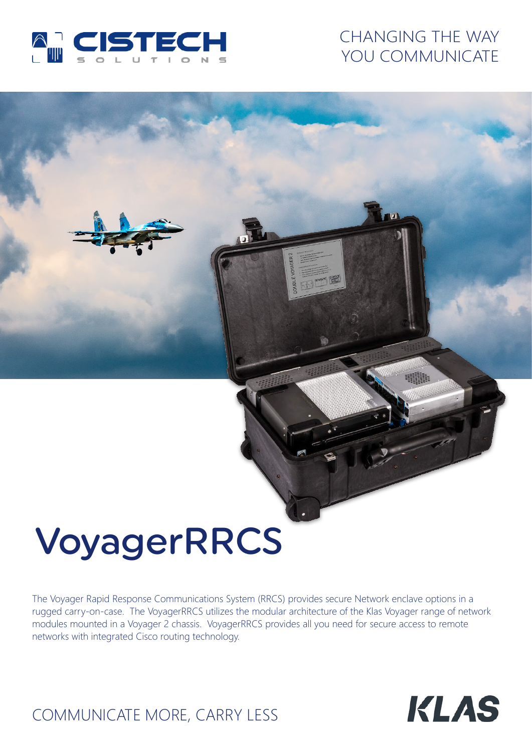

## CHANGING THE WAY YOU COMMUNICATE

# VoyagerRRCS

The Voyager Rapid Response Communications System (RRCS) provides secure Network enclave options in a rugged carry-on-case. The VoyagerRRCS utilizes the modular architecture of the Klas Voyager range of network modules mounted in a Voyager 2 chassis. VoyagerRRCS provides all you need for secure access to remote networks with integrated Cisco routing technology.



# COMMUNICATE MORE, CARRY LESS